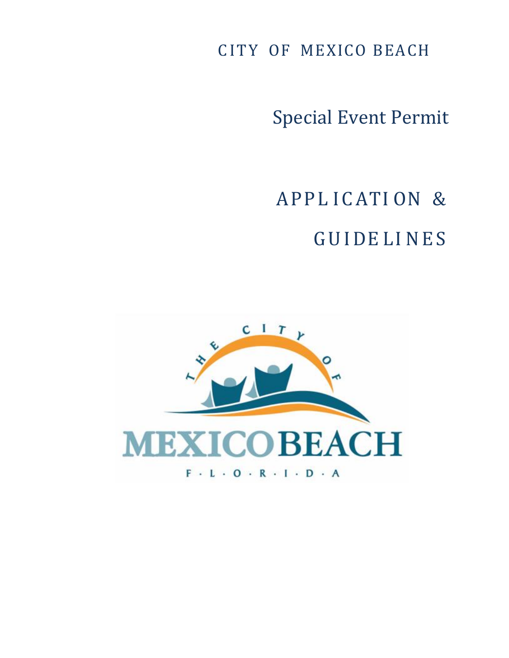C ITY OF MEXICO BEACH

Special Event Permit

APPL ICATI ON & GUIDE LI NES

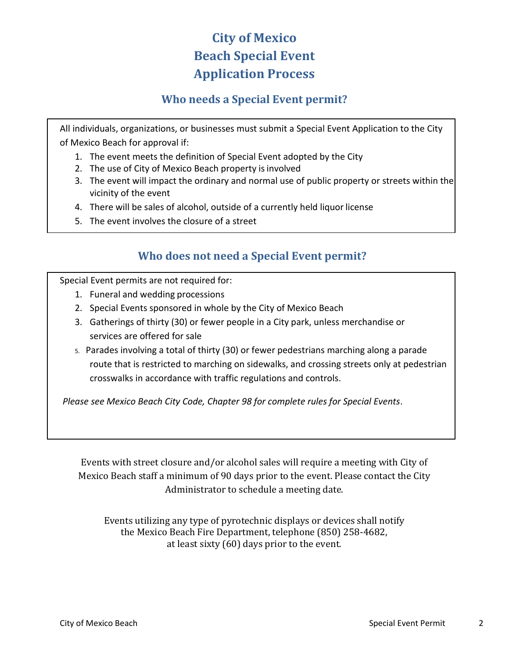# **City of Mexico Beach Special Event Application Process**

### **Who needs a Special Event permit?**

All individuals, organizations, or businesses must submit a Special Event Application to the City of Mexico Beach for approval if:

- 1. The event meets the definition of Special Event adopted by the City
- 2. The use of City of Mexico Beach property is involved
- 3. The event will impact the ordinary and normal use of public property or streets within the vicinity of the event
- 4. There will be sales of alcohol, outside of a currently held liquor license
- 5. The event involves the closure of a street

### **Who does not need a Special Event permit?**

Special Event permits are not required for:

- 1. Funeral and wedding processions
- 2. Special Events sponsored in whole by the City of Mexico Beach
- 3. Gatherings of thirty (30) or fewer people in a City park, unless merchandise or services are offered for sale
- 5. Parades involving a total of thirty (30) or fewer pedestrians marching along a parade route that is restricted to marching on sidewalks, and crossing streets only at pedestrian crosswalks in accordance with traffic regulations and controls.

*Please see Mexico Beach City Code, Chapter 98 for complete rules for Special Events*.

Events with street closure and/or alcohol sales will require a meeting with City of Mexico Beach staff a minimum of 90 days prior to the event. Please contact the City Administrator to schedule a meeting date.

Events utilizing any type of pyrotechnic displays or devices shall notify the Mexico Beach Fire Department, telephone (850) 258-4682, at least sixty (60) days prior to the event.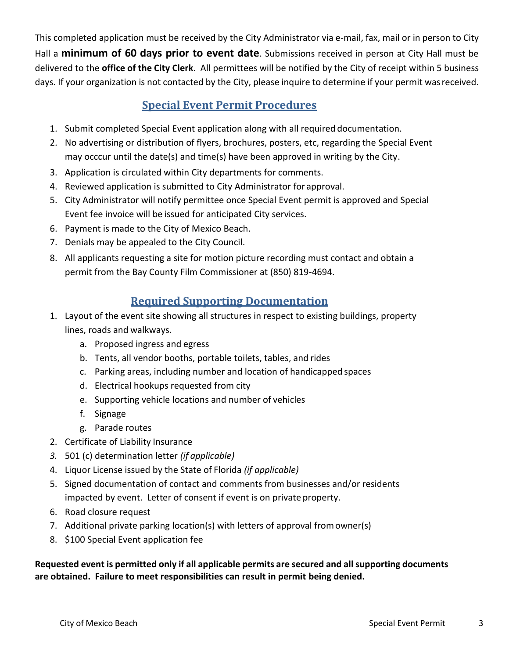This completed application must be received by the City Administrator via e-mail, fax, mail or in person to City Hall a **minimum of 60 days prior to event date**. Submissions received in person at City Hall must be delivered to the **office of the City Clerk**. All permittees will be notified by the City of receipt within 5 business days. If your organization is not contacted by the City, please inquire to determine if your permit wasreceived.

## **Special Event Permit Procedures**

- 1. Submit completed Special Event application along with all required documentation.
- 2. No advertising or distribution of flyers, brochures, posters, etc, regarding the Special Event may occcur until the date(s) and time(s) have been approved in writing by the City.
- 3. Application is circulated within City departments for comments.
- 4. Reviewed application is submitted to City Administrator for approval.
- 5. City Administrator will notify permittee once Special Event permit is approved and Special Event fee invoice will be issued for anticipated City services.
- 6. Payment is made to the City of Mexico Beach.
- 7. Denials may be appealed to the City Council.
- 8. All applicants requesting a site for motion picture recording must contact and obtain a permit from the Bay County Film Commissioner at (850) 819-4694.

#### **Required Supporting Documentation**

- 1. Layout of the event site showing all structures in respect to existing buildings, property lines, roads and walkways.
	- a. Proposed ingress and egress
	- b. Tents, all vendor booths, portable toilets, tables, and rides
	- c. Parking areas, including number and location of handicapped spaces
	- d. Electrical hookups requested from city
	- e. Supporting vehicle locations and number of vehicles
	- f. Signage
	- g. Parade routes
- 2. Certificate of Liability Insurance
- *3.* 501 (c) determination letter *(if applicable)*
- 4. Liquor License issued by the State of Florida *(if applicable)*
- 5. Signed documentation of contact and comments from businesses and/or residents impacted by event. Letter of consent if event is on private property.
- 6. Road closure request
- 7. Additional private parking location(s) with letters of approval fromowner(s)
- 8. \$100 Special Event application fee

**Requested event is permitted only if all applicable permits are secured and all supporting documents are obtained. Failure to meet responsibilities can result in permit being denied.**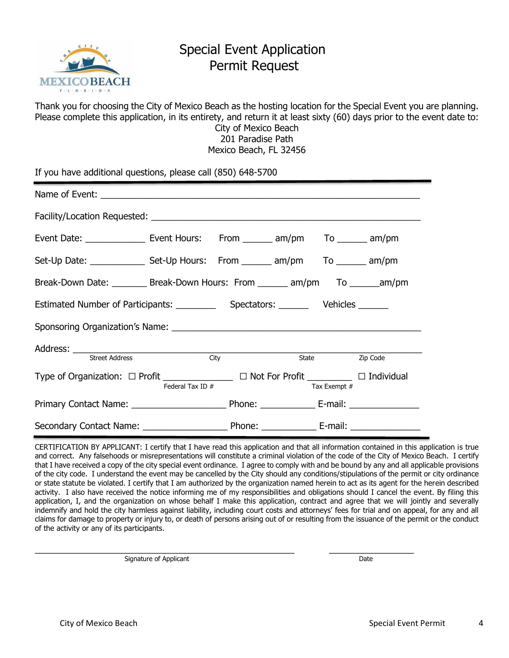

## Special Event Application Permit Request

Thank you for choosing the City of Mexico Beach as the hosting location for the Special Event you are planning. Please complete this application, in its entirety, and return it at least sixty (60) days prior to the event date to: City of Mexico Beach 201 Paradise Path Mexico Beach, FL 32456

If you have additional questions, please call (850) 648-5700

| Event Date: __________________ Event Hours: From ________ am/pm To _______ am/pm     |                  |             |  |              |                |
|--------------------------------------------------------------------------------------|------------------|-------------|--|--------------|----------------|
| Set-Up Date: _________________ Set-Up Hours: From _______ am/pm To _______ am/pm     |                  |             |  |              |                |
| Break-Down Date: _________ Break-Down Hours: From _______ am/pm To ______am/pm       |                  |             |  |              |                |
|                                                                                      |                  |             |  |              |                |
|                                                                                      |                  |             |  |              |                |
|                                                                                      |                  |             |  |              |                |
| <b>Street Address</b>                                                                |                  | <b>City</b> |  |              | State Zip Code |
| Type of Organization: □ Profit ______________ □ Not For Profit ________ □ Individual | Federal Tax ID # |             |  |              |                |
|                                                                                      |                  |             |  | Tax Exempt # |                |
|                                                                                      |                  |             |  |              |                |
|                                                                                      |                  |             |  |              |                |

CERTIFICATION BY APPLICANT: I certify that I have read this application and that all information contained in this application is true and correct. Any falsehoods or misrepresentations will constitute a criminal violation of the code of the City of Mexico Beach. I certify that I have received a copy of the city special event ordinance. I agree to comply with and be bound by any and all applicable provisions of the city code. I understand the event may be cancelled by the City should any conditions/stipulations of the permit or city ordinance or state statute be violated. I certify that I am authorized by the organization named herein to act as its agent for the herein described activity. I also have received the notice informing me of my responsibilities and obligations should I cancel the event. By filing this application, I, and the organization on whose behalf I make this application, contract and agree that we will jointly and severally indemnify and hold the city harmless against liability, including court costs and attorneys' fees for trial and on appeal, for any and all claims for damage to property or injury to, or death of persons arising out of or resulting from the issuance of the permit or the conduct of the activity or any of its participants.

 $\_$  , and the set of the set of the set of the set of the set of the set of the set of the set of the set of the set of the set of the set of the set of the set of the set of the set of the set of the set of the set of th

Signature of Applicant Date of Applicant Date of Applicant Date of Applicant Date of Applicant Date of Applicant Date of Applicant Date of Applicant Date of Applicant Date of Applicant Date of Applicant Date of Applicant D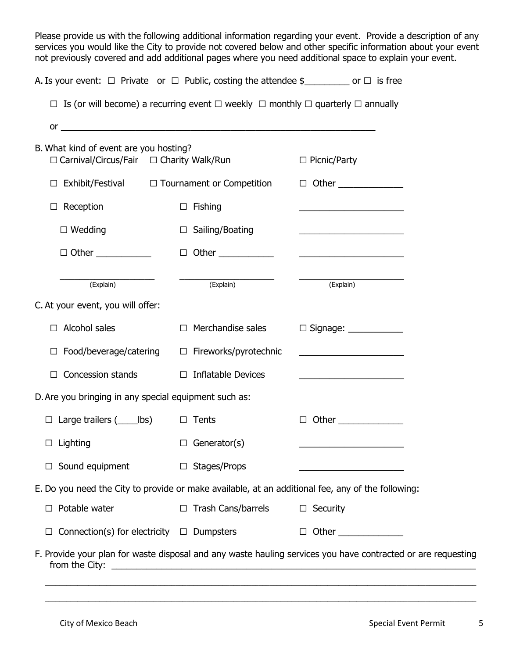Please provide us with the following additional information regarding your event. Provide a description of any services you would like the City to provide not covered below and other specific information about your event not previously covered and add additional pages where you need additional space to explain your event.

| A. Is your event: $\Box$ Private or $\Box$ Public, costing the attendee $\frac{1}{2}$ and $\Box$ is free                       |                                                                                                                      |                                                                                                                       |  |
|--------------------------------------------------------------------------------------------------------------------------------|----------------------------------------------------------------------------------------------------------------------|-----------------------------------------------------------------------------------------------------------------------|--|
| $\Box$ Is (or will become) a recurring event $\Box$ weekly $\Box$ monthly $\Box$ quarterly $\Box$ annually                     |                                                                                                                      |                                                                                                                       |  |
| or                                                                                                                             | <u> 1989 - Johann John Stone, meilich aus der Stone (der Stone Stone Stone Stone Stone Stone Stone Stone Stone S</u> |                                                                                                                       |  |
| B. What kind of event are you hosting?<br>$\Box$ Carnival/Circus/Fair $\Box$ Charity Walk/Run                                  |                                                                                                                      | $\Box$ Picnic/Party                                                                                                   |  |
| Exhibit/Festival $\Box$ Tournament or Competition<br>$\Box$                                                                    |                                                                                                                      | $\Box$ Other $\Box$                                                                                                   |  |
| Reception<br>$\Box$                                                                                                            | $\Box$ Fishing                                                                                                       |                                                                                                                       |  |
| $\Box$ Wedding                                                                                                                 | $\Box$ Sailing/Boating                                                                                               | <u> 1980 - Johann Barbara, martin amerikan basar dan berasal dalam basar dalam basar dalam basar dalam basar dala</u> |  |
| $\Box$ Other _____________                                                                                                     |                                                                                                                      |                                                                                                                       |  |
| (Explain)                                                                                                                      | (Explain)                                                                                                            | (Explain)                                                                                                             |  |
| C. At your event, you will offer:                                                                                              |                                                                                                                      |                                                                                                                       |  |
| Alcohol sales<br>$\Box$                                                                                                        | Merchandise sales<br>$\Box$                                                                                          |                                                                                                                       |  |
| Food/beverage/catering<br>□                                                                                                    | $\Box$ Fireworks/pyrotechnic                                                                                         |                                                                                                                       |  |
| Concession stands<br>$\Box$                                                                                                    | $\Box$ Inflatable Devices                                                                                            | <u> 1989 - Johann John Stone, meilich aus der Stone († 1989)</u>                                                      |  |
| D. Are you bringing in any special equipment such as:                                                                          |                                                                                                                      |                                                                                                                       |  |
| $\Box$ Large trailers ( ____ lbs) $\Box$ Tents                                                                                 |                                                                                                                      | Other $\_\_$<br>$\Box$                                                                                                |  |
| $\Box$ Lighting                                                                                                                | $\Box$ Generator(s)                                                                                                  |                                                                                                                       |  |
| Sound equipment                                                                                                                | $\Box$ Stages/Props                                                                                                  |                                                                                                                       |  |
| E. Do you need the City to provide or make available, at an additional fee, any of the following:                              |                                                                                                                      |                                                                                                                       |  |
| Potable water                                                                                                                  | $\Box$ Trash Cans/barrels                                                                                            | $\Box$ Security                                                                                                       |  |
| Connection(s) for electricity $\Box$ Dumpsters                                                                                 |                                                                                                                      | $\Box$                                                                                                                |  |
| F. Provide your plan for waste disposal and any waste hauling services you have contracted or are requesting<br>from the City: |                                                                                                                      |                                                                                                                       |  |

\_\_\_\_\_\_\_\_\_\_\_\_\_\_\_\_\_\_\_\_\_\_\_\_\_\_\_\_\_\_\_\_\_\_\_\_\_\_\_\_\_\_\_\_\_\_\_\_\_\_\_\_\_\_\_\_\_\_\_\_\_\_\_\_\_\_\_\_\_\_\_\_\_\_\_\_\_\_\_\_\_\_\_\_\_\_\_\_\_\_\_\_\_\_\_\_\_\_\_\_\_\_\_\_\_\_\_\_\_\_\_\_\_\_\_\_\_\_\_  $\ldots$  . The contribution of the contribution of the contribution of the contribution of the contribution of the contribution of the contribution of the contribution of the contribution of the contribution of the contribut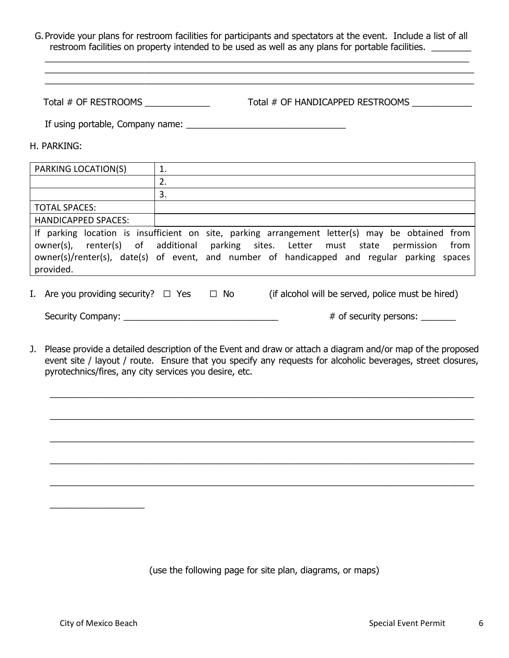G.Provide your plans for restroom facilities for participants and spectators at the event. Include a list of all restroom facilities on property intended to be used as well as any plans for portable facilities.

 $\_$  , and the set of the set of the set of the set of the set of the set of the set of the set of the set of the set of the set of the set of the set of the set of the set of the set of the set of the set of the set of th  $\_$  , and the set of the set of the set of the set of the set of the set of the set of the set of the set of the set of the set of the set of the set of the set of the set of the set of the set of the set of the set of th  $\_$  , and the set of the set of the set of the set of the set of the set of the set of the set of the set of the set of the set of the set of the set of the set of the set of the set of the set of the set of the set of th

Total # OF RESTROOMS Total # OF HANDICAPPED RESTROOMS

If using portable, Company name:

H. PARKING:

| PARKING LOCATION(S)        |                                                                                                                                                                                                                                                                                          |
|----------------------------|------------------------------------------------------------------------------------------------------------------------------------------------------------------------------------------------------------------------------------------------------------------------------------------|
|                            | 2.                                                                                                                                                                                                                                                                                       |
|                            | 3.                                                                                                                                                                                                                                                                                       |
| <b>TOTAL SPACES:</b>       |                                                                                                                                                                                                                                                                                          |
| <b>HANDICAPPED SPACES:</b> |                                                                                                                                                                                                                                                                                          |
| provided.                  | If parking location is insufficient on site, parking arrangement letter(s) may be obtained from<br>owner(s), renter(s) of additional parking sites. Letter must state permission<br>from  <br>owner(s)/renter(s), date(s) of event, and number of handicapped and regular parking spaces |

I. Are you providing security?  $\Box$  Yes  $\Box$  No (if alcohol will be served, police must be hired)

Security Company: \_\_\_\_\_\_\_\_\_\_\_\_\_\_\_\_\_\_\_\_\_\_\_\_\_\_\_\_\_\_\_ # of security persons: \_\_\_\_\_\_\_

J. Please provide a detailed description of the Event and draw or attach a diagram and/or map of the proposed event site / layout / route. Ensure that you specify any requests for alcoholic beverages, street closures, pyrotechnics/fires, any city services you desire, etc.

 $\_$  , and the set of the set of the set of the set of the set of the set of the set of the set of the set of the set of the set of the set of the set of the set of the set of the set of the set of the set of the set of th

 $\_$  , and the set of the set of the set of the set of the set of the set of the set of the set of the set of the set of the set of the set of the set of the set of the set of the set of the set of the set of the set of th

 $\_$  , and the set of the set of the set of the set of the set of the set of the set of the set of the set of the set of the set of the set of the set of the set of the set of the set of the set of the set of the set of th

 $\_$  , and the set of the set of the set of the set of the set of the set of the set of the set of the set of the set of the set of the set of the set of the set of the set of the set of the set of the set of the set of th

 $\_$  , and the set of the set of the set of the set of the set of the set of the set of the set of the set of the set of the set of the set of the set of the set of the set of the set of the set of the set of the set of th

(use the following page for site plan, diagrams, or maps)

 $\overline{\phantom{a}}$  , which is a set of the set of the set of the set of the set of the set of the set of the set of the set of the set of the set of the set of the set of the set of the set of the set of the set of the set of th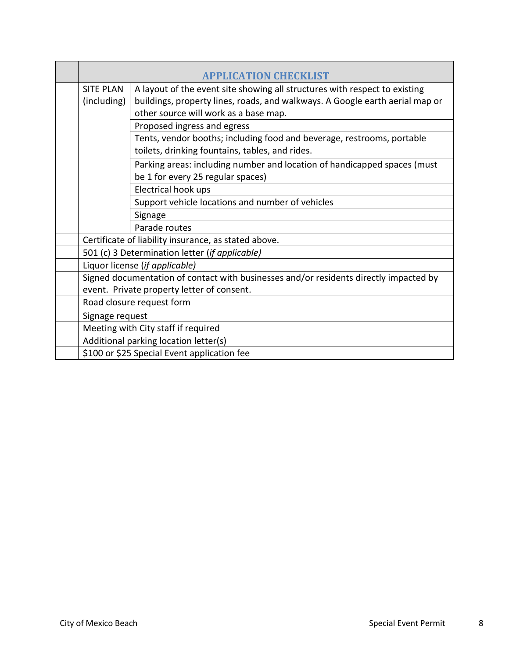|                                                                                       | <b>APPLICATION CHECKLIST</b>                                                 |  |
|---------------------------------------------------------------------------------------|------------------------------------------------------------------------------|--|
| <b>SITE PLAN</b>                                                                      | A layout of the event site showing all structures with respect to existing   |  |
| (including)                                                                           | buildings, property lines, roads, and walkways. A Google earth aerial map or |  |
|                                                                                       | other source will work as a base map.                                        |  |
|                                                                                       | Proposed ingress and egress                                                  |  |
|                                                                                       | Tents, vendor booths; including food and beverage, restrooms, portable       |  |
|                                                                                       | toilets, drinking fountains, tables, and rides.                              |  |
|                                                                                       | Parking areas: including number and location of handicapped spaces (must     |  |
|                                                                                       | be 1 for every 25 regular spaces)                                            |  |
|                                                                                       | Electrical hook ups                                                          |  |
|                                                                                       | Support vehicle locations and number of vehicles                             |  |
|                                                                                       | Signage                                                                      |  |
|                                                                                       | Parade routes                                                                |  |
| Certificate of liability insurance, as stated above.                                  |                                                                              |  |
| 501 (c) 3 Determination letter (if applicable)                                        |                                                                              |  |
| Liquor license (if applicable)                                                        |                                                                              |  |
| Signed documentation of contact with businesses and/or residents directly impacted by |                                                                              |  |
| event. Private property letter of consent.                                            |                                                                              |  |
| Road closure request form                                                             |                                                                              |  |
| Signage request                                                                       |                                                                              |  |
| Meeting with City staff if required                                                   |                                                                              |  |
| Additional parking location letter(s)                                                 |                                                                              |  |
| \$100 or \$25 Special Event application fee                                           |                                                                              |  |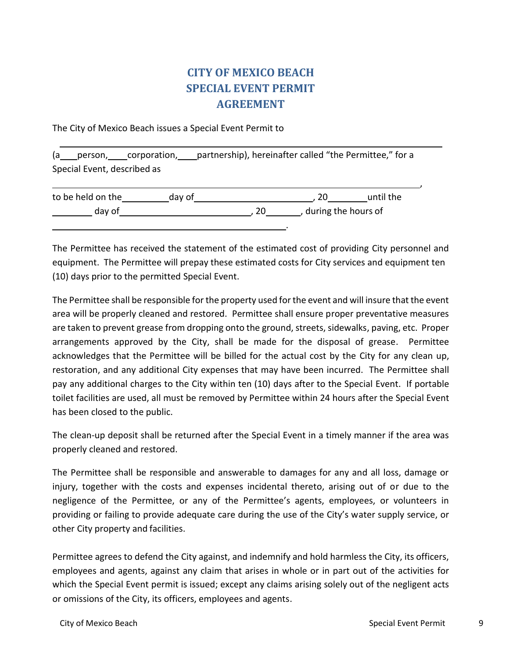## **CITY OF MEXICO BEACH SPECIAL EVENT PERMIT AGREEMENT**

The City of Mexico Beach issues a Special Event Permit to

(a person, corporation, partnership), hereinafter called "the Permittee," for a Special Event, described as

| to be held on the | dav of |                     | until the |
|-------------------|--------|---------------------|-----------|
| day of            |        | during the hours of |           |
|                   |        |                     |           |

The Permittee has received the statement of the estimated cost of providing City personnel and equipment. The Permittee will prepay these estimated costs for City services and equipment ten (10) days prior to the permitted Special Event.

The Permittee shall be responsible for the property used for the event and will insure that the event area will be properly cleaned and restored. Permittee shall ensure proper preventative measures are taken to prevent grease from dropping onto the ground, streets, sidewalks, paving, etc. Proper arrangements approved by the City, shall be made for the disposal of grease. Permittee acknowledges that the Permittee will be billed for the actual cost by the City for any clean up, restoration, and any additional City expenses that may have been incurred. The Permittee shall pay any additional charges to the City within ten (10) days after to the Special Event. If portable toilet facilities are used, all must be removed by Permittee within 24 hours after the Special Event has been closed to the public.

The clean-up deposit shall be returned after the Special Event in a timely manner if the area was properly cleaned and restored.

The Permittee shall be responsible and answerable to damages for any and all loss, damage or injury, together with the costs and expenses incidental thereto, arising out of or due to the negligence of the Permittee, or any of the Permittee's agents, employees, or volunteers in providing or failing to provide adequate care during the use of the City's water supply service, or other City property and facilities.

Permittee agrees to defend the City against, and indemnify and hold harmless the City, its officers, employees and agents, against any claim that arises in whole or in part out of the activities for which the Special Event permit is issued; except any claims arising solely out of the negligent acts or omissions of the City, its officers, employees and agents.

,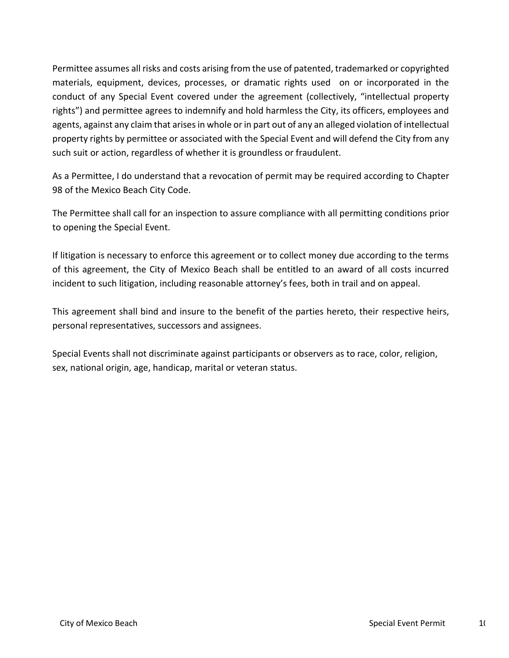Permittee assumes all risks and costs arising from the use of patented, trademarked or copyrighted materials, equipment, devices, processes, or dramatic rights used on or incorporated in the conduct of any Special Event covered under the agreement (collectively, "intellectual property rights") and permittee agrees to indemnify and hold harmless the City, its officers, employees and agents, against any claim that arises in whole or in part out of any an alleged violation of intellectual property rights by permittee or associated with the Special Event and will defend the City from any such suit or action, regardless of whether it is groundless or fraudulent.

As a Permittee, I do understand that a revocation of permit may be required according to Chapter 98 of the Mexico Beach City Code.

The Permittee shall call for an inspection to assure compliance with all permitting conditions prior to opening the Special Event.

If litigation is necessary to enforce this agreement or to collect money due according to the terms of this agreement, the City of Mexico Beach shall be entitled to an award of all costs incurred incident to such litigation, including reasonable attorney's fees, both in trail and on appeal.

This agreement shall bind and insure to the benefit of the parties hereto, their respective heirs, personal representatives, successors and assignees.

Special Events shall not discriminate against participants or observers as to race, color, religion, sex, national origin, age, handicap, marital or veteran status.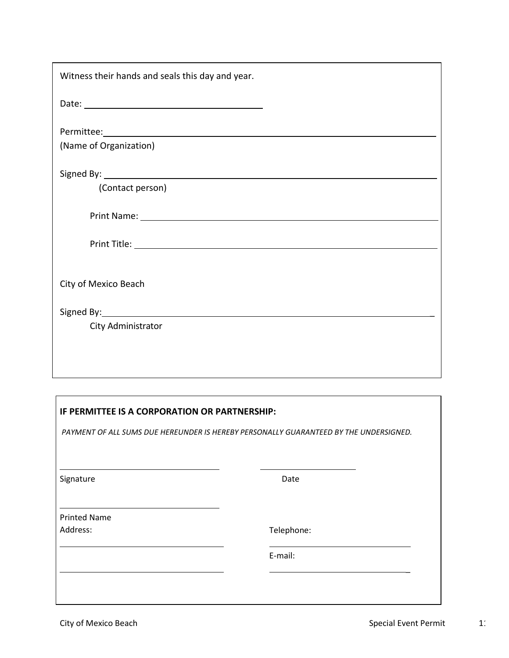| Witness their hands and seals this day and year. |
|--------------------------------------------------|
|                                                  |
|                                                  |
| (Name of Organization)                           |
|                                                  |
| (Contact person)                                 |
|                                                  |
|                                                  |
| City of Mexico Beach                             |
|                                                  |
| City Administrator                               |
|                                                  |
|                                                  |

| IF PERMITTEE IS A CORPORATION OR PARTNERSHIP: |                                                                                       |  |
|-----------------------------------------------|---------------------------------------------------------------------------------------|--|
|                                               | PAYMENT OF ALL SUMS DUE HEREUNDER IS HEREBY PERSONALLY GUARANTEED BY THE UNDERSIGNED. |  |
|                                               |                                                                                       |  |
| Signature                                     | Date                                                                                  |  |
| <b>Printed Name</b>                           |                                                                                       |  |
| Address:                                      | Telephone:                                                                            |  |
|                                               | E-mail:                                                                               |  |
|                                               |                                                                                       |  |
|                                               |                                                                                       |  |